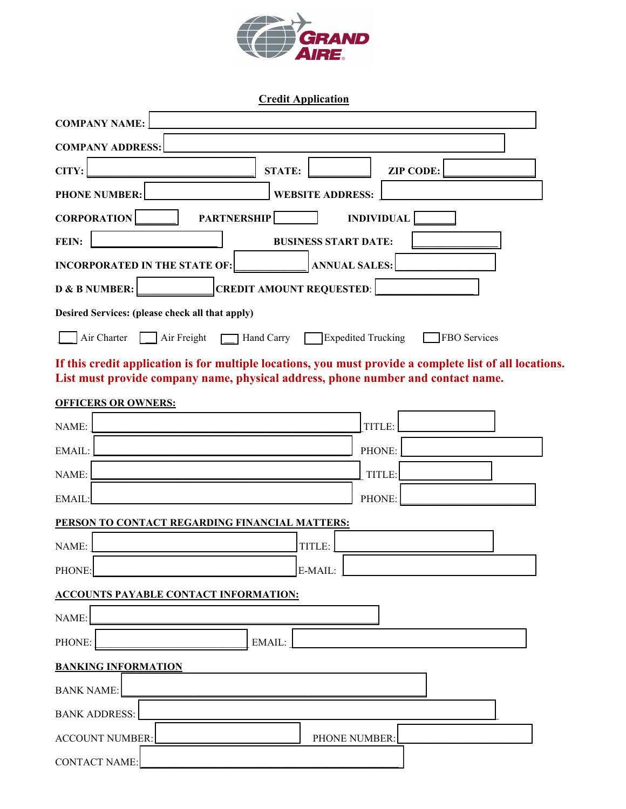

**Credit Application**

| <b>COMPANY NAME:</b>                                                                                                                                                                         |  |  |  |
|----------------------------------------------------------------------------------------------------------------------------------------------------------------------------------------------|--|--|--|
| <b>COMPANY ADDRESS:</b>                                                                                                                                                                      |  |  |  |
| CITY:<br><b>STATE:</b><br><b>ZIP CODE:</b>                                                                                                                                                   |  |  |  |
| <b>PHONE NUMBER:</b><br><b>WEBSITE ADDRESS:</b>                                                                                                                                              |  |  |  |
| <b>CORPORATION</b><br><b>PARTNERSHIP</b><br><b>INDIVIDUAL</b>                                                                                                                                |  |  |  |
| FEIN:<br><b>BUSINESS START DATE:</b>                                                                                                                                                         |  |  |  |
| <b>ANNUAL SALES:</b><br><b>INCORPORATED IN THE STATE OF:</b>                                                                                                                                 |  |  |  |
| <b>CREDIT AMOUNT REQUESTED:</b><br>D & B NUMBER:                                                                                                                                             |  |  |  |
| Desired Services: (please check all that apply)                                                                                                                                              |  |  |  |
| Air Freight<br>Hand Carry<br><b>Expedited Trucking</b><br>Air Charter<br><b>FBO</b> Services                                                                                                 |  |  |  |
| If this credit application is for multiple locations, you must provide a complete list of all locations.<br>List must provide company name, physical address, phone number and contact name. |  |  |  |
| <b>OFFICERS OR OWNERS:</b>                                                                                                                                                                   |  |  |  |
| NAME:<br>TITLE:                                                                                                                                                                              |  |  |  |
| EMAIL:<br>PHONE:                                                                                                                                                                             |  |  |  |
| TITLE:<br>NAME:                                                                                                                                                                              |  |  |  |
| EMAIL:<br>PHONE:                                                                                                                                                                             |  |  |  |
| PERSON TO CONTACT REGARDING FINANCIAL MATTERS:                                                                                                                                               |  |  |  |
| NAME:<br>TITLE:                                                                                                                                                                              |  |  |  |
| PHONE:<br>E-MAIL:                                                                                                                                                                            |  |  |  |
| <b>ACCOUNTS PAYABLE CONTACT INFORMATION:</b>                                                                                                                                                 |  |  |  |
| NAME:                                                                                                                                                                                        |  |  |  |
| PHONE:<br>EMAIL:                                                                                                                                                                             |  |  |  |
| <b>BANKING INFORMATION</b>                                                                                                                                                                   |  |  |  |
| <b>BANK NAME:</b>                                                                                                                                                                            |  |  |  |
| <b>BANK ADDRESS:</b>                                                                                                                                                                         |  |  |  |
| <b>ACCOUNT NUMBER:</b><br>PHONE NUMBER:                                                                                                                                                      |  |  |  |
| <b>CONTACT NAME:</b>                                                                                                                                                                         |  |  |  |